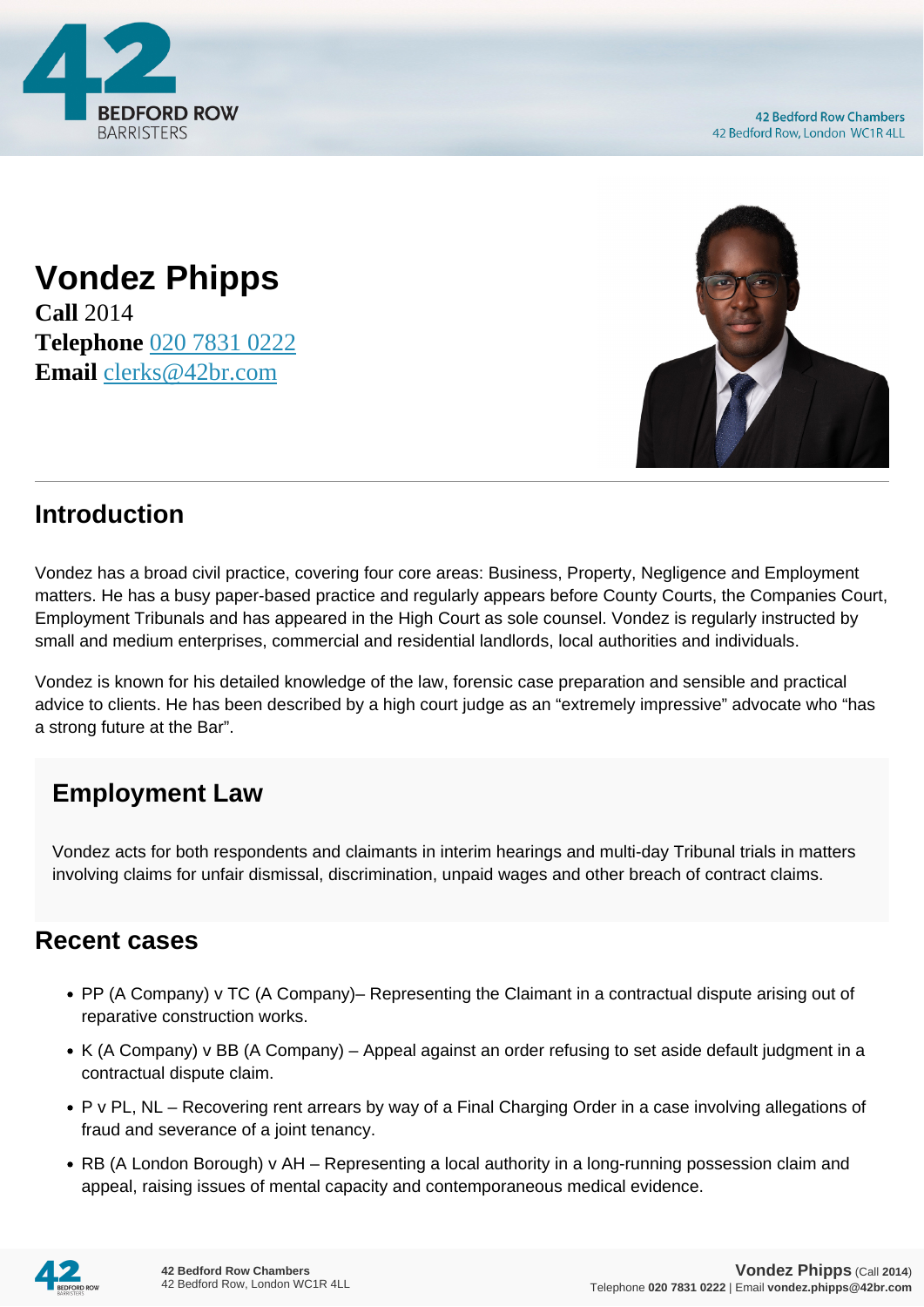

**Vondez Phipps Call** 2014 **Telephone** [020 7831 0222](https://pdf.codeshore.co/_42br/tel:020 7831 0222) **Email** [clerks@42br.com](mailto:clerks@42br.com)



## **Introduction**

Vondez has a broad civil practice, covering four core areas: Business, Property, Negligence and Employment matters. He has a busy paper-based practice and regularly appears before County Courts, the Companies Court, Employment Tribunals and has appeared in the High Court as sole counsel. Vondez is regularly instructed by small and medium enterprises, commercial and residential landlords, local authorities and individuals.

Vondez is known for his detailed knowledge of the law, forensic case preparation and sensible and practical advice to clients. He has been described by a high court judge as an "extremely impressive" advocate who "has a strong future at the Bar".

## **Employment Law**

Vondez acts for both respondents and claimants in interim hearings and multi-day Tribunal trials in matters involving claims for unfair dismissal, discrimination, unpaid wages and other breach of contract claims.

## **Recent cases**

- PP (A Company) v TC (A Company)– Representing the Claimant in a contractual dispute arising out of reparative construction works.
- K (A Company) v BB (A Company) Appeal against an order refusing to set aside default judgment in a contractual dispute claim.
- P v PL, NL Recovering rent arrears by way of a Final Charging Order in a case involving allegations of fraud and severance of a joint tenancy.
- RB (A London Borough) v AH Representing a local authority in a long-running possession claim and appeal, raising issues of mental capacity and contemporaneous medical evidence.